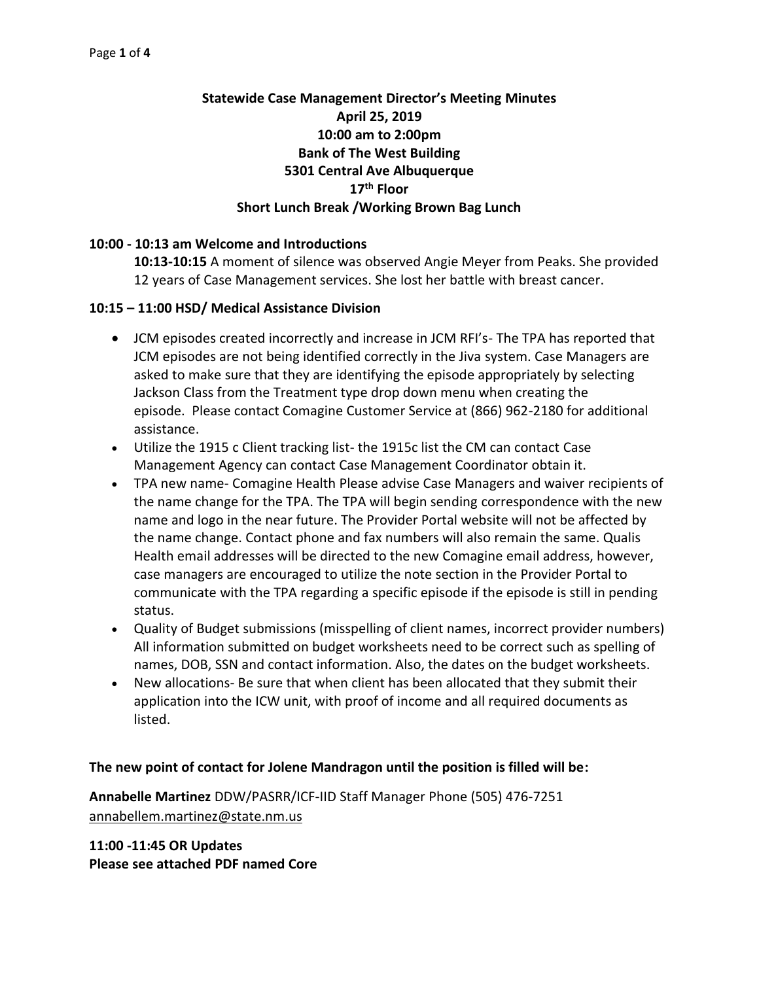# **Statewide Case Management Director's Meeting Minutes April 25, 2019 10:00 am to 2:00pm Bank of The West Building 5301 Central Ave Albuquerque 17th Floor Short Lunch Break /Working Brown Bag Lunch**

### **10:00 - 10:13 am Welcome and Introductions**

**10:13-10:15** A moment of silence was observed Angie Meyer from Peaks. She provided 12 years of Case Management services. She lost her battle with breast cancer.

### **10:15 – 11:00 HSD/ Medical Assistance Division**

- JCM episodes created incorrectly and increase in JCM RFI's- The TPA has reported that JCM episodes are not being identified correctly in the Jiva system. Case Managers are asked to make sure that they are identifying the episode appropriately by selecting Jackson Class from the Treatment type drop down menu when creating the episode. Please contact Comagine Customer Service at (866) 962-2180 for additional assistance.
- Utilize the 1915 c Client tracking list- the 1915c list the CM can contact Case Management Agency can contact Case Management Coordinator obtain it.
- TPA new name- Comagine Health Please advise Case Managers and waiver recipients of the name change for the TPA. The TPA will begin sending correspondence with the new name and logo in the near future. The Provider Portal website will not be affected by the name change. Contact phone and fax numbers will also remain the same. Qualis Health email addresses will be directed to the new Comagine email address, however, case managers are encouraged to utilize the note section in the Provider Portal to communicate with the TPA regarding a specific episode if the episode is still in pending status.
- Quality of Budget submissions (misspelling of client names, incorrect provider numbers) All information submitted on budget worksheets need to be correct such as spelling of names, DOB, SSN and contact information. Also, the dates on the budget worksheets.
- New allocations- Be sure that when client has been allocated that they submit their application into the ICW unit, with proof of income and all required documents as listed.

### **The new point of contact for Jolene Mandragon until the position is filled will be:**

**Annabelle Martinez** DDW/PASRR/ICF-IID Staff Manager Phone (505) 476-7251 [annabellem.martinez@state.nm.us](mailto:annabellem.martinez@state.nm.us)

**11:00 -11:45 OR Updates Please see attached PDF named Core**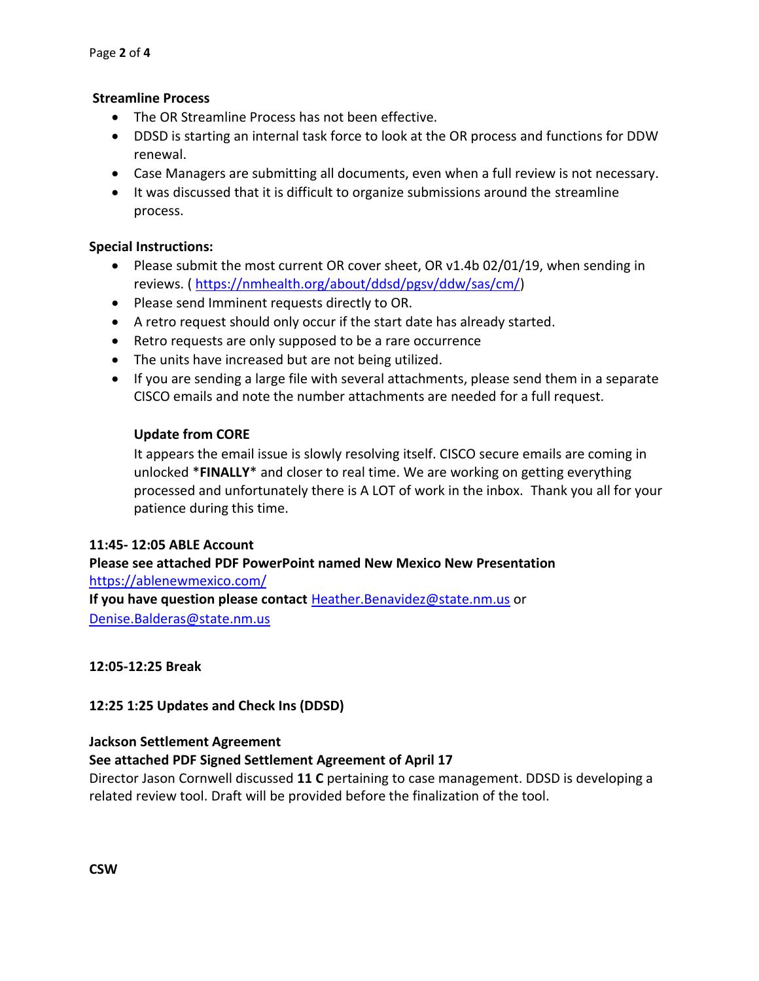### **Streamline Process**

- The OR Streamline Process has not been effective.
- DDSD is starting an internal task force to look at the OR process and functions for DDW renewal.
- Case Managers are submitting all documents, even when a full review is not necessary.
- It was discussed that it is difficult to organize submissions around the streamline process.

### **Special Instructions:**

- Please submit the most current OR cover sheet, OR v1.4b 02/01/19, when sending in reviews. ( [https://nmhealth.org/about/ddsd/pgsv/ddw/sas/cm/\)](https://nmhealth.org/about/ddsd/pgsv/ddw/sas/cm/)
- Please send Imminent requests directly to OR.
- A retro request should only occur if the start date has already started.
- Retro requests are only supposed to be a rare occurrence
- The units have increased but are not being utilized.
- If you are sending a large file with several attachments, please send them in a separate CISCO emails and note the number attachments are needed for a full request.

### **Update from CORE**

It appears the email issue is slowly resolving itself. CISCO secure emails are coming in unlocked \***FINALLY**\* and closer to real time. We are working on getting everything processed and unfortunately there is A LOT of work in the inbox. Thank you all for your patience during this time.

### **11:45- 12:05 ABLE Account**

**Please see attached PDF PowerPoint named New Mexico New Presentation**  <https://ablenewmexico.com/> **If you have question please contact** [Heather.Benavidez@state.nm.us](mailto:Heather.Benavidez@state.nm.us) or [Denise.Balderas@state.nm.us](mailto:Denise.Balderas@state.nm.us)

### **12:05-12:25 Break**

**12:25 1:25 Updates and Check Ins (DDSD)** 

### **Jackson Settlement Agreement**

## **See attached PDF Signed Settlement Agreement of April 17**

Director Jason Cornwell discussed **11 C** pertaining to case management. DDSD is developing a related review tool. Draft will be provided before the finalization of the tool.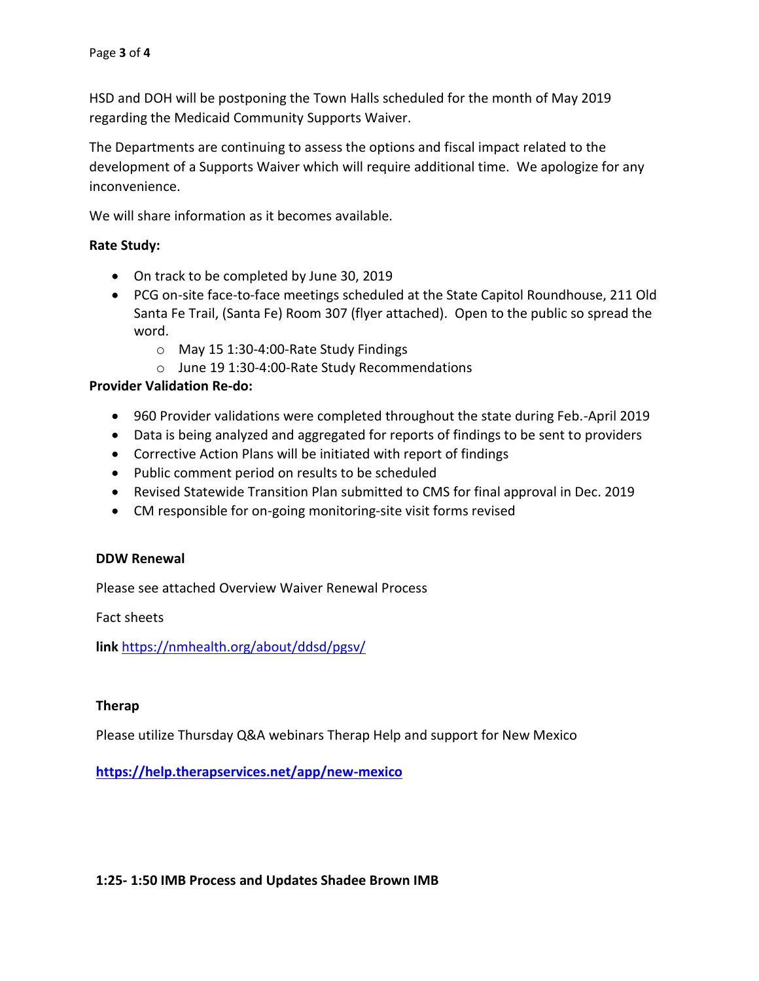HSD and DOH will be postponing the Town Halls scheduled for the month of May 2019 regarding the Medicaid Community Supports Waiver.

The Departments are continuing to assess the options and fiscal impact related to the development of a Supports Waiver which will require additional time. We apologize for any inconvenience.

We will share information as it becomes available.

### **Rate Study:**

- On track to be completed by June 30, 2019
- PCG on-site face-to-face meetings scheduled at the State Capitol Roundhouse, 211 Old Santa Fe Trail, (Santa Fe) Room 307 (flyer attached). Open to the public so spread the word.
	- o May 15 1:30-4:00-Rate Study Findings
	- o June 19 1:30-4:00-Rate Study Recommendations

### **Provider Validation Re-do:**

- 960 Provider validations were completed throughout the state during Feb.-April 2019
- Data is being analyzed and aggregated for reports of findings to be sent to providers
- Corrective Action Plans will be initiated with report of findings
- Public comment period on results to be scheduled
- Revised Statewide Transition Plan submitted to CMS for final approval in Dec. 2019
- CM responsible for on-going monitoring-site visit forms revised

### **DDW Renewal**

Please see attached Overview Waiver Renewal Process

Fact sheets

**link** <https://nmhealth.org/about/ddsd/pgsv/>

### **Therap**

Please utilize Thursday Q&A webinars Therap Help and support for New Mexico

**<https://help.therapservices.net/app/new-mexico>**

### **1:25- 1:50 IMB Process and Updates Shadee Brown IMB**